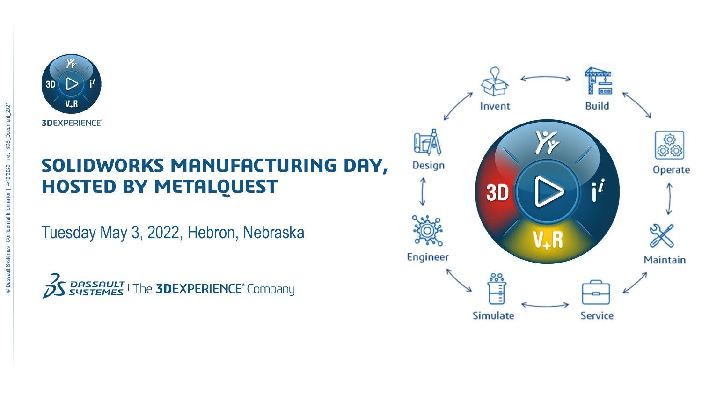

## **SOLIDWORKS MANUFACTURING DAY, HOSTED BY METALQUEST**

Tuesday May 3, 2022, Hebron, Nebraska



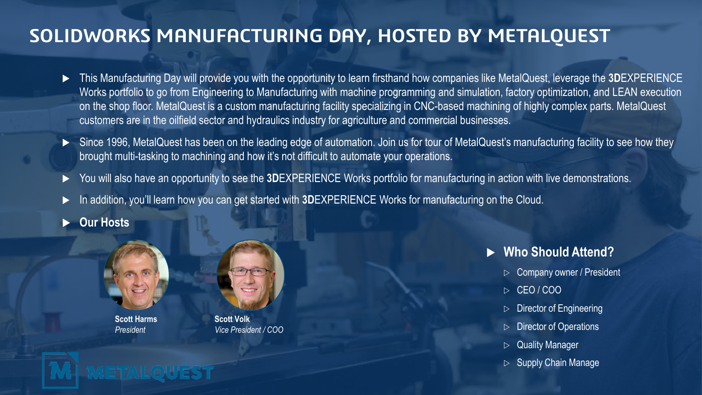## **SOLIDWORKS MANUFACTURING DAY, HOSTED BY METALQUEST**

- This Manufacturing Day will provide you with the opportunity to learn firsthand how companies like MetalQuest, leverage the **3D**EXPERIENCE Works portfolio to go from Engineering to Manufacturing with machine programming and simulation, factory optimization, and LEAN execution on the shop floor. MetalQuest is a custom manufacturing facility specializing in CNC-based machining of highly complex parts. MetalQuest customers are in the oilfield sector and hydraulics industry for agriculture and commercial businesses.
- ▶ Since 1996, MetalQuest has been on the leading edge of automation. Join us for tour of MetalQuest's manufacturing facility to see how they brought multi-tasking to machining and how it's not difficult to automate your operations.
- You will also have an opportunity to see the **3D**EXPERIENCE Works portfolio for manufacturing in action with live demonstrations.
- In addition, you'll learn how you can get started with **3D**EXPERIENCE Works for manufacturing on the Cloud.
- **Our Hosts**



**Scott Harms** *President*

**METALOI** 



**Scott Volk** *Vice President / COO*

- **Who Should Attend?**
	- $\triangleright$  Company owner / President
	- $\triangleright$  CEO/COO
	- Director of Engineering
	- $\triangleright$  Director of Operations
	- $\triangleright$  Quality Manager
	- $\triangleright$  Supply Chain Manage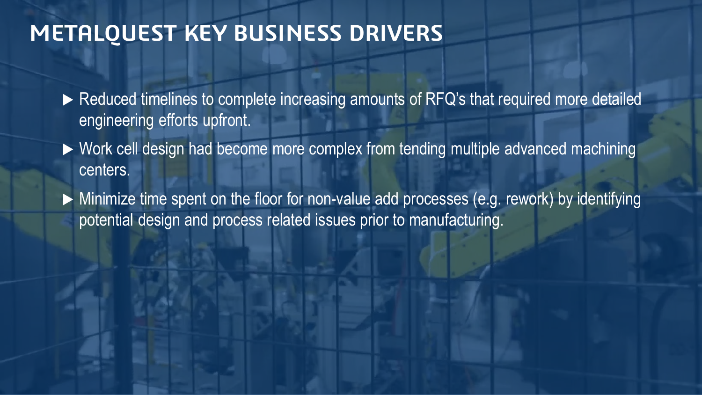# **METALQUEST KEY BUSINESS DRIVERS**

- Reduced timelines to complete increasing amounts of RFQ's that required more detailed engineering efforts upfront.
- ▶ Work cell design had become more complex from tending multiple advanced machining centers.
- Minimize time spent on the floor for non-value add processes (e.g. rework) by identifying potential design and process related issues prior to manufacturing.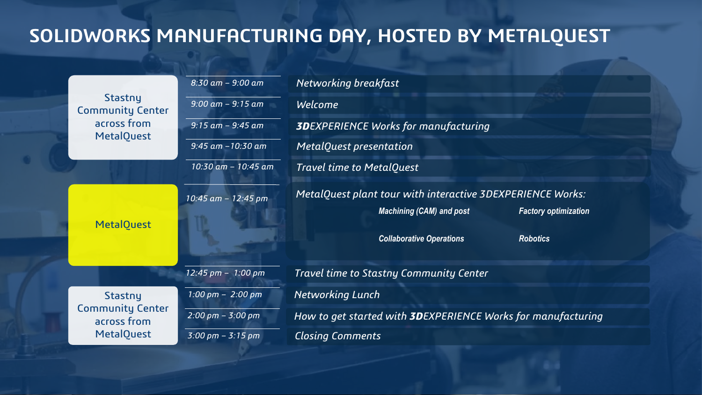## **SOLIDWORKS MANUFACTURING DAY, HOSTED BY METALQUEST**

|  | Stastny<br><b>Community Center</b><br>across from<br><b>MetalQuest</b> | $8:30$ am - 9:00 am                 | Networking breakfast                                                 |
|--|------------------------------------------------------------------------|-------------------------------------|----------------------------------------------------------------------|
|  |                                                                        | $9:00$ am $-9:15$ am                | Welcome                                                              |
|  |                                                                        | $9:15$ am - $9:45$ am               | <b>3DEXPERIENCE Works for manufacturing</b>                          |
|  |                                                                        | $9:45$ am $-10:30$ am               | MetalQuest presentation                                              |
|  |                                                                        | 10:30 am - 10:45 am                 | <b>Travel time to MetalQuest</b>                                     |
|  | <b>MetalQuest</b>                                                      | 10:45 am - 12:45 pm                 | MetalQuest plant tour with interactive 3DEXPERIENCE Works:           |
|  |                                                                        |                                     | <b>Machining (CAM) and post</b><br><b>Factory optimization</b>       |
|  |                                                                        |                                     | <b>Collaborative Operations</b><br><b>Robotics</b>                   |
|  |                                                                        | $12:45$ pm - 1:00 pm                | Travel time to Stastny Community Center                              |
|  | Stastny<br><b>Community Center</b><br>across from<br><b>MetalQuest</b> | $1:00 \text{ pm} - 2:00 \text{ pm}$ | <b>Networking Lunch</b>                                              |
|  |                                                                        | $2:00 \text{ pm} - 3:00 \text{ pm}$ | How to get started with <b>3D</b> EXPERIENCE Works for manufacturing |
|  |                                                                        | $3:00 \text{ pm} - 3:15 \text{ pm}$ | <b>Closing Comments</b>                                              |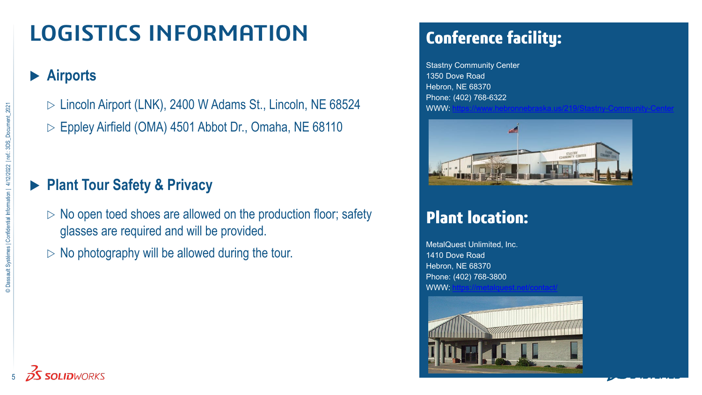# **LOGISTICS INFORMATION**

#### **Airports**

- $\triangleright$  Lincoln Airport (LNK), 2400 W Adams St., Lincoln, NE 68524
- $\triangleright$  Eppley Airfield (OMA) 4501 Abbot Dr., Omaha, NE 68110

### **Plant Tour Safety & Privacy**

- $\triangleright$  No open toed shoes are allowed on the production floor; safety glasses are required and will be provided.
- $\triangleright$  No photography will be allowed during the tour.

## **Conference facility:**

Stastny Community Center 1350 Dove Road Hebron, NE 68370 Phone: (402) 768-6322 WWW:<https://www.hebronnebraska.us/219/Stastny-Community-Center>



### **Plant location:**

MetalQuest Unlimited, Inc. 1410 Dove Road Hebron, NE 68370 Phone: (402) 768-3800  $WW^+$